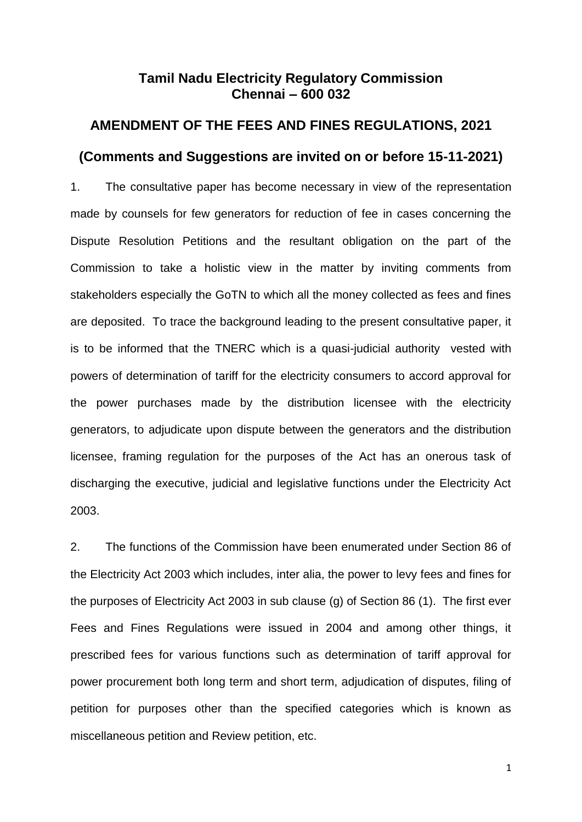# **Tamil Nadu Electricity Regulatory Commission Chennai – 600 032**

# **AMENDMENT OF THE FEES AND FINES REGULATIONS, 2021 (Comments and Suggestions are invited on or before 15-11-2021)**

1. The consultative paper has become necessary in view of the representation made by counsels for few generators for reduction of fee in cases concerning the Dispute Resolution Petitions and the resultant obligation on the part of the Commission to take a holistic view in the matter by inviting comments from stakeholders especially the GoTN to which all the money collected as fees and fines are deposited. To trace the background leading to the present consultative paper, it is to be informed that the TNERC which is a quasi-judicial authority vested with powers of determination of tariff for the electricity consumers to accord approval for the power purchases made by the distribution licensee with the electricity generators, to adjudicate upon dispute between the generators and the distribution licensee, framing regulation for the purposes of the Act has an onerous task of discharging the executive, judicial and legislative functions under the Electricity Act 2003.

2. The functions of the Commission have been enumerated under Section 86 of the Electricity Act 2003 which includes, inter alia, the power to levy fees and fines for the purposes of Electricity Act 2003 in sub clause (g) of Section 86 (1). The first ever Fees and Fines Regulations were issued in 2004 and among other things, it prescribed fees for various functions such as determination of tariff approval for power procurement both long term and short term, adjudication of disputes, filing of petition for purposes other than the specified categories which is known as miscellaneous petition and Review petition, etc.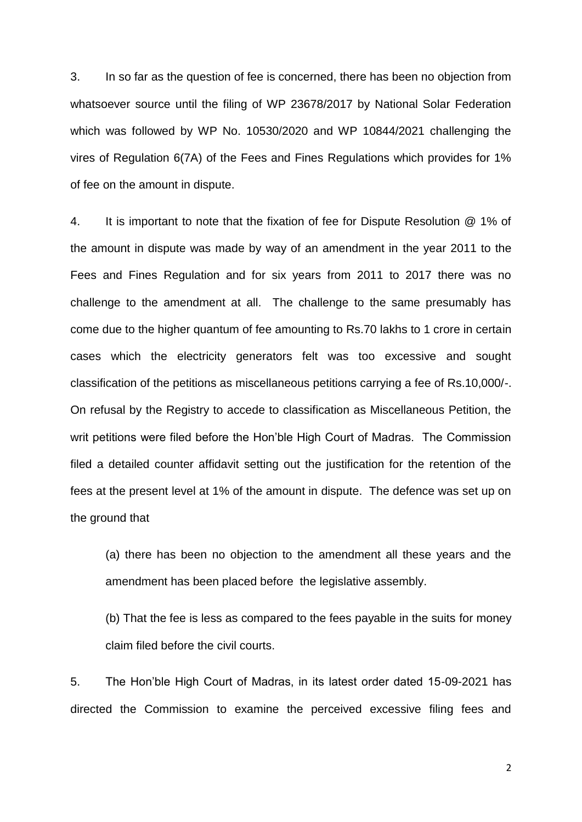3. In so far as the question of fee is concerned, there has been no objection from whatsoever source until the filing of WP 23678/2017 by National Solar Federation which was followed by WP No. 10530/2020 and WP 10844/2021 challenging the vires of Regulation 6(7A) of the Fees and Fines Regulations which provides for 1% of fee on the amount in dispute.

4. It is important to note that the fixation of fee for Dispute Resolution @ 1% of the amount in dispute was made by way of an amendment in the year 2011 to the Fees and Fines Regulation and for six years from 2011 to 2017 there was no challenge to the amendment at all. The challenge to the same presumably has come due to the higher quantum of fee amounting to Rs.70 lakhs to 1 crore in certain cases which the electricity generators felt was too excessive and sought classification of the petitions as miscellaneous petitions carrying a fee of Rs.10,000/-. On refusal by the Registry to accede to classification as Miscellaneous Petition, the writ petitions were filed before the Hon'ble High Court of Madras. The Commission filed a detailed counter affidavit setting out the justification for the retention of the fees at the present level at 1% of the amount in dispute. The defence was set up on the ground that

(a) there has been no objection to the amendment all these years and the amendment has been placed before the legislative assembly.

(b) That the fee is less as compared to the fees payable in the suits for money claim filed before the civil courts.

5. The Hon'ble High Court of Madras, in its latest order dated 15-09-2021 has directed the Commission to examine the perceived excessive filing fees and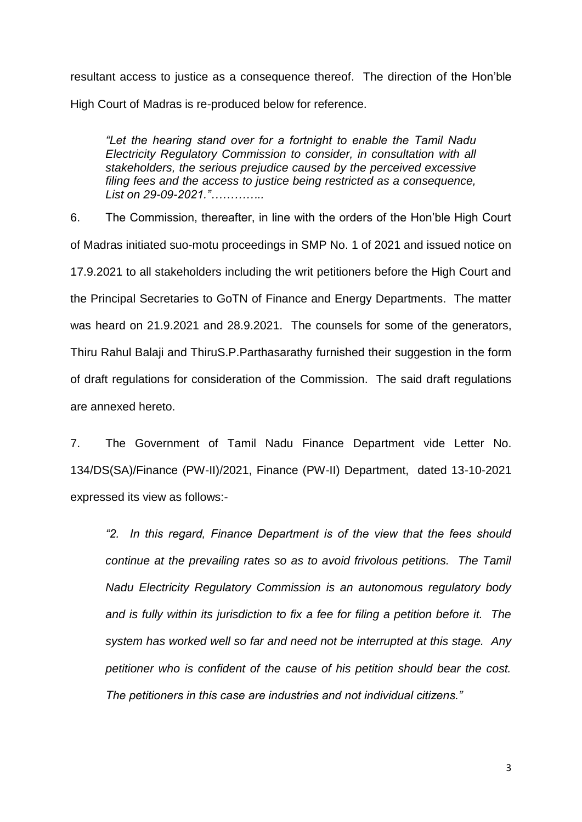resultant access to justice as a consequence thereof. The direction of the Hon'ble High Court of Madras is re-produced below for reference.

*"Let the hearing stand over for a fortnight to enable the Tamil Nadu Electricity Regulatory Commission to consider, in consultation with all stakeholders, the serious prejudice caused by the perceived excessive filing fees and the access to justice being restricted as a consequence, List on 29-09-2021."…………..*

6. The Commission, thereafter, in line with the orders of the Hon'ble High Court of Madras initiated suo-motu proceedings in SMP No. 1 of 2021 and issued notice on 17.9.2021 to all stakeholders including the writ petitioners before the High Court and the Principal Secretaries to GoTN of Finance and Energy Departments. The matter was heard on 21.9.2021 and 28.9.2021. The counsels for some of the generators, Thiru Rahul Balaji and ThiruS.P.Parthasarathy furnished their suggestion in the form of draft regulations for consideration of the Commission. The said draft regulations are annexed hereto.

7. The Government of Tamil Nadu Finance Department vide Letter No. 134/DS(SA)/Finance (PW-II)/2021, Finance (PW-II) Department, dated 13-10-2021 expressed its view as follows:-

*"2. In this regard, Finance Department is of the view that the fees should continue at the prevailing rates so as to avoid frivolous petitions. The Tamil Nadu Electricity Regulatory Commission is an autonomous regulatory body and is fully within its jurisdiction to fix a fee for filing a petition before it. The system has worked well so far and need not be interrupted at this stage. Any petitioner who is confident of the cause of his petition should bear the cost. The petitioners in this case are industries and not individual citizens."*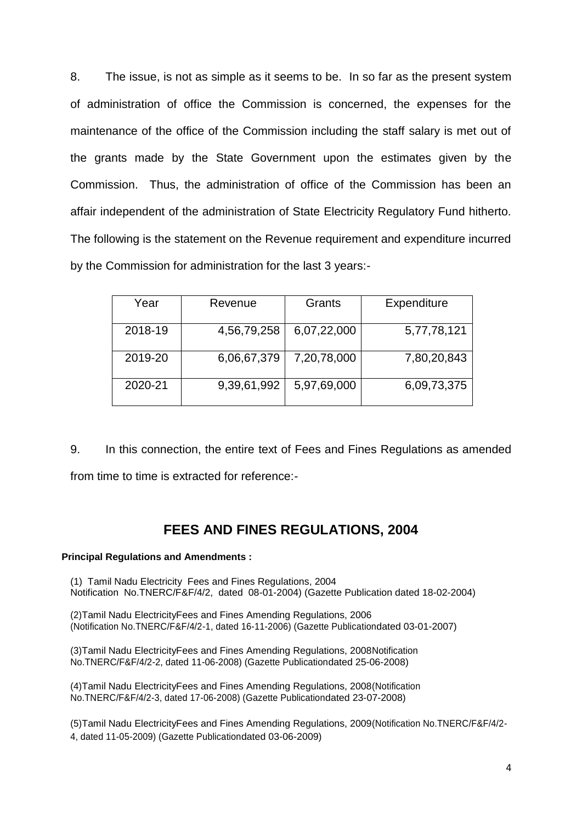8. The issue, is not as simple as it seems to be. In so far as the present system of administration of office the Commission is concerned, the expenses for the maintenance of the office of the Commission including the staff salary is met out of the grants made by the State Government upon the estimates given by the Commission. Thus, the administration of office of the Commission has been an affair independent of the administration of State Electricity Regulatory Fund hitherto. The following is the statement on the Revenue requirement and expenditure incurred by the Commission for administration for the last 3 years:-

| Year    | Revenue     | Grants      | Expenditure |
|---------|-------------|-------------|-------------|
| 2018-19 | 4,56,79,258 | 6,07,22,000 | 5,77,78,121 |
| 2019-20 | 6,06,67,379 | 7,20,78,000 | 7,80,20,843 |
| 2020-21 | 9,39,61,992 | 5,97,69,000 | 6,09,73,375 |

9. In this connection, the entire text of Fees and Fines Regulations as amended from time to time is extracted for reference:-

# **FEES AND FINES REGULATIONS, 2004**

#### **Principal Regulations and Amendments :**

(1) Tamil Nadu Electricity Fees and Fines Regulations, 2004 Notification No.TNERC/F&F/4/2, dated 08-01-2004) (Gazette Publication dated 18-02-2004)

(2)Tamil Nadu ElectricityFees and Fines Amending Regulations, 2006 (Notification No.TNERC/F&F/4/2-1, dated 16-11-2006) (Gazette Publicationdated 03-01-2007)

(3)Tamil Nadu ElectricityFees and Fines Amending Regulations, 2008Notification No.TNERC/F&F/4/2-2, dated 11-06-2008) (Gazette Publicationdated 25-06-2008)

(4)Tamil Nadu ElectricityFees and Fines Amending Regulations, 2008(Notification No.TNERC/F&F/4/2-3, dated 17-06-2008) (Gazette Publicationdated 23-07-2008)

(5)Tamil Nadu ElectricityFees and Fines Amending Regulations, 2009(Notification No.TNERC/F&F/4/2- 4, dated 11-05-2009) (Gazette Publicationdated 03-06-2009)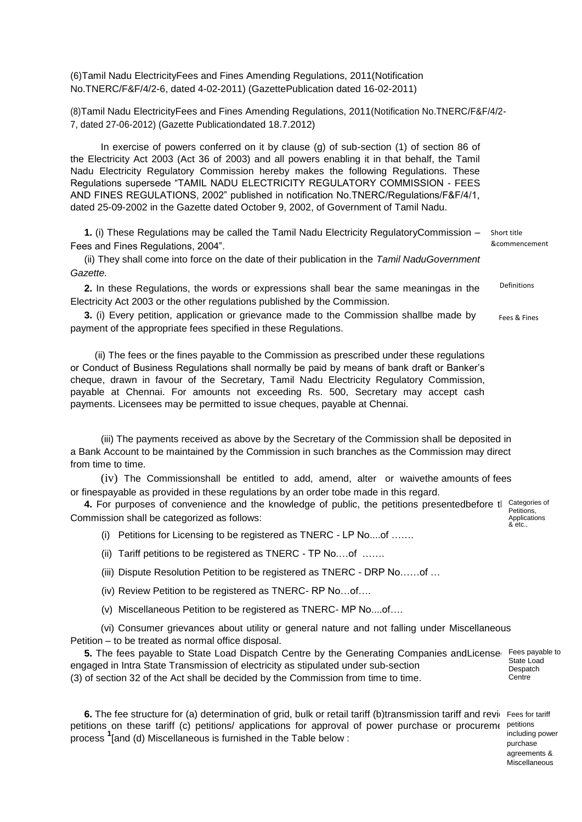(6)Tamil Nadu ElectricityFees and Fines Amending Regulations, 2011(Notification No.TNERC/F&F/4/2-6, dated 4-02-2011) (GazettePublication dated 16-02-2011)

(8)Tamil Nadu ElectricityFees and Fines Amending Regulations, 2011(Notification No.TNERC/F&F/4/2- 7, dated 27-06-2012) (Gazette Publicationdated 18.7.2012)

In exercise of powers conferred on it by clause (g) of sub-section (1) of section 86 of the Electricity Act 2003 (Act 36 of 2003) and all powers enabling it in that behalf, the Tamil Nadu Electricity Regulatory Commission hereby makes the following Regulations. These Regulations supersede "TAMIL NADU ELECTRICITY REGULATORY COMMISSION - FEES AND FINES REGULATIONS, 2002" published in notification No.TNERC/Regulations/F&F/4/1, dated 25-09-2002 in the Gazette dated October 9, 2002, of Government of Tamil Nadu.

**1.** (i) These Regulations may be called the Tamil Nadu Electricity RegulatoryCommission – Fees and Fines Regulations, 2004". Short title &commencement

(ii) They shall come into force on the date of their publication in the *Tamil NaduGovernment Gazette.*

**2.** In these Regulations, the words or expressions shall bear the same meaningas in the Electricity Act 2003 or the other regulations published by the Commission. Definitions

**3.** (i) Every petition, application or grievance made to the Commission shallbe made by payment of the appropriate fees specified in these Regulations. Fees & Fines

 (ii) The fees or the fines payable to the Commission as prescribed under these regulations or Conduct of Business Regulations shall normally be paid by means of bank draft or Banker's cheque, drawn in favour of the Secretary, Tamil Nadu Electricity Regulatory Commission, payable at Chennai. For amounts not exceeding Rs. 500, Secretary may accept cash payments. Licensees may be permitted to issue cheques, payable at Chennai.

(iii) The payments received as above by the Secretary of the Commission shall be deposited in a Bank Account to be maintained by the Commission in such branches as the Commission may direct from time to time.

(iv) The Commissionshall be entitled to add, amend, alter or waivethe amounts of fees or finespayable as provided in these regulations by an order tobe made in this regard.

4. For purposes of convenience and the knowledge of public, the petitions presentedbefore tlecategories of Commission shall be categorized as follows: Petitions, Applications & etc.,

(i) Petitions for Licensing to be registered as TNERC - LP No....of …….

(ii) Tariff petitions to be registered as TNERC - TP No.…of …….

(iii) Dispute Resolution Petition to be registered as TNERC - DRP No……of …

(iv) Review Petition to be registered as TNERC- RP No…of….

(v) Miscellaneous Petition to be registered as TNERC- MP No....of….

(vi) Consumer grievances about utility or general nature and not falling under Miscellaneous Petition – to be treated as normal office disposal.

**5.** The fees payable to State Load Dispatch Centre by the Generating Companies andLicense. Fees payable to engaged in Intra State Transmission of electricity as stipulated under sub-section (3) of section 32 of the Act shall be decided by the Commission from time to time.

6. The fee structure for (a) determination of grid, bulk or retail tariff (b)transmission tariff and revie Fees for tariff petitions on these tariff (c) petitions/ applications for approval of power purchase or procuremented .<br>process <sup>1</sup>[and (d) Miscellaneous is furnished in the Table below :

5 Miscellaneousincluding power purchase agreements &

State Load Despatch Centre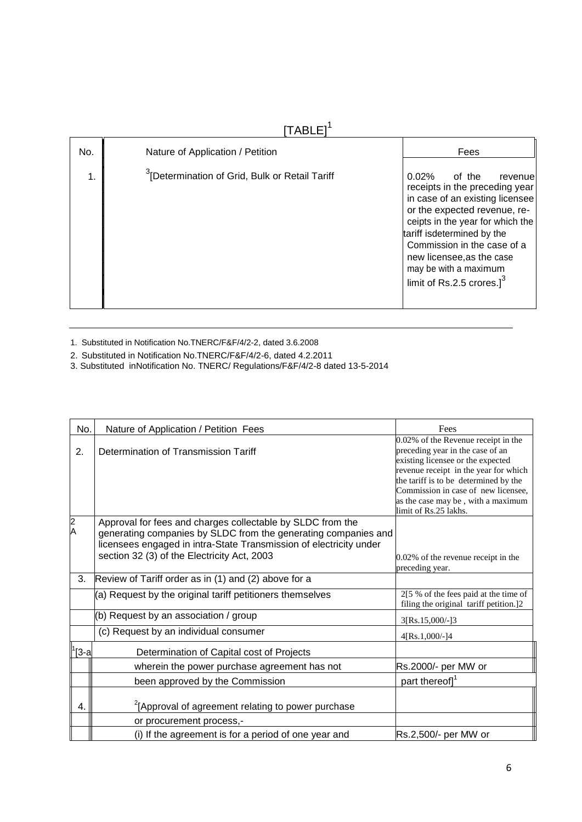# $[TABLE]$ <sup>1</sup>

| No.           | Nature of Application / Petition                           | Fees                                                                                                                                                                                                                                                                                                                      |
|---------------|------------------------------------------------------------|---------------------------------------------------------------------------------------------------------------------------------------------------------------------------------------------------------------------------------------------------------------------------------------------------------------------------|
| $\mathbf 1$ . | <sup>3</sup> IDetermination of Grid, Bulk or Retail Tariff | 0.02%<br>of the<br>revenue<br>receipts in the preceding year<br>in case of an existing licensee<br>or the expected revenue, re-<br>ceipts in the year for which the<br>tariff isdetermined by the<br>Commission in the case of a<br>new licensee, as the case<br>may be with a maximum<br>limit of Rs.2.5 crores. $]^{3}$ |

1. Substituted in Notification No.TNERC/F&F/4/2-2, dated 3.6.2008

- 2. Substituted in Notification No.TNERC/F&F/4/2-6, dated 4.2.2011
- 3. Substituted inNotification No. TNERC/ Regulations/F&F/4/2-8 dated 13-5-2014

| No.           | Nature of Application / Petition Fees                                                                                                                                                                                                             | Fees                                                                                                                                                                                                                                                                                                 |
|---------------|---------------------------------------------------------------------------------------------------------------------------------------------------------------------------------------------------------------------------------------------------|------------------------------------------------------------------------------------------------------------------------------------------------------------------------------------------------------------------------------------------------------------------------------------------------------|
| 2.            | Determination of Transmission Tariff                                                                                                                                                                                                              | 0.02% of the Revenue receipt in the<br>preceding year in the case of an<br>existing licensee or the expected<br>revenue receipt in the year for which<br>the tariff is to be determined by the<br>Commission in case of new licensee,<br>as the case may be, with a maximum<br>limit of Rs.25 lakhs. |
| $\frac{2}{A}$ | Approval for fees and charges collectable by SLDC from the<br>generating companies by SLDC from the generating companies and<br>licensees engaged in intra-State Transmission of electricity under<br>section 32 (3) of the Electricity Act, 2003 | 0.02% of the revenue receipt in the<br>preceding year.                                                                                                                                                                                                                                               |
| 3.            | Review of Tariff order as in (1) and (2) above for a                                                                                                                                                                                              |                                                                                                                                                                                                                                                                                                      |
|               | (a) Request by the original tariff petitioners themselves                                                                                                                                                                                         | 2[5 % of the fees paid at the time of<br>filing the original tariff petition.]2                                                                                                                                                                                                                      |
|               | (b) Request by an association / group                                                                                                                                                                                                             | 3[Rs.15,000/-]3                                                                                                                                                                                                                                                                                      |
|               | (c) Request by an individual consumer                                                                                                                                                                                                             | 4[Rs.1,000/-]4                                                                                                                                                                                                                                                                                       |
| $\ 1_{3-a}$   | Determination of Capital cost of Projects                                                                                                                                                                                                         |                                                                                                                                                                                                                                                                                                      |
|               | wherein the power purchase agreement has not                                                                                                                                                                                                      | Rs.2000/- per MW or                                                                                                                                                                                                                                                                                  |
|               | been approved by the Commission                                                                                                                                                                                                                   | part thereof] <sup>1</sup>                                                                                                                                                                                                                                                                           |
| 4.            | <sup>2</sup> [Approval of agreement relating to power purchase<br>or procurement process,-                                                                                                                                                        |                                                                                                                                                                                                                                                                                                      |
|               | (i) If the agreement is for a period of one year and                                                                                                                                                                                              | Rs.2,500/- per MW or                                                                                                                                                                                                                                                                                 |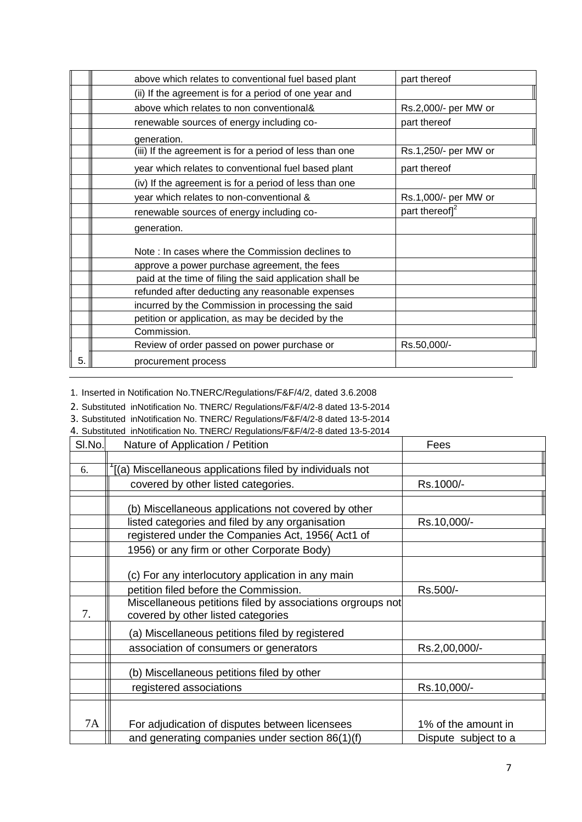| above which relates to conventional fuel based plant     | part thereof               |
|----------------------------------------------------------|----------------------------|
| (ii) If the agreement is for a period of one year and    |                            |
| above which relates to non conventional&                 | Rs.2,000/- per MW or       |
| renewable sources of energy including co-                | part thereof               |
| generation.                                              |                            |
| (iii) If the agreement is for a period of less than one  | Rs.1,250/- per MW or       |
| year which relates to conventional fuel based plant      | part thereof               |
| (iv) If the agreement is for a period of less than one   |                            |
| year which relates to non-conventional &                 | Rs.1,000/- per MW or       |
| renewable sources of energy including co-                | part thereof] <sup>2</sup> |
| generation.                                              |                            |
| Note: In cases where the Commission declines to          |                            |
| approve a power purchase agreement, the fees             |                            |
| paid at the time of filing the said application shall be |                            |
| refunded after deducting any reasonable expenses         |                            |
| incurred by the Commission in processing the said        |                            |
| petition or application, as may be decided by the        |                            |
| Commission.                                              |                            |
| Review of order passed on power purchase or              | Rs.50,000/-                |
| procurement process                                      |                            |
|                                                          |                            |

1. Inserted in Notification No.TNERC/Regulations/F&F/4/2, dated 3.6.2008

2. Substituted inNotification No. TNERC/ Regulations/F&F/4/2-8 dated 13-5-2014

3. Substituted inNotification No. TNERC/ Regulations/F&F/4/2-8 dated 13-5-2014

4. Substituted inNotification No. TNERC/ Regulations/F&F/4/2-8 dated 13-5-2014

| SI.No. | Nature of Application / Petition                                                                 | Fees                 |
|--------|--------------------------------------------------------------------------------------------------|----------------------|
|        |                                                                                                  |                      |
| 6.     | (a) Miscellaneous applications filed by individuals not                                          |                      |
|        | covered by other listed categories.                                                              | Rs.1000/-            |
|        | (b) Miscellaneous applications not covered by other                                              |                      |
|        | listed categories and filed by any organisation                                                  | Rs.10,000/-          |
|        | registered under the Companies Act, 1956(Act1 of                                                 |                      |
|        | 1956) or any firm or other Corporate Body)                                                       |                      |
|        | (c) For any interlocutory application in any main                                                |                      |
|        | petition filed before the Commission.                                                            | Rs.500/-             |
| 7.     | Miscellaneous petitions filed by associations orgroups not<br>covered by other listed categories |                      |
|        | (a) Miscellaneous petitions filed by registered                                                  |                      |
|        | association of consumers or generators                                                           | Rs.2,00,000/-        |
|        | (b) Miscellaneous petitions filed by other                                                       |                      |
|        | registered associations                                                                          | Rs.10,000/-          |
|        |                                                                                                  |                      |
| 7A     | For adjudication of disputes between licensees                                                   | 1% of the amount in  |
|        | and generating companies under section 86(1)(f)                                                  | Dispute subject to a |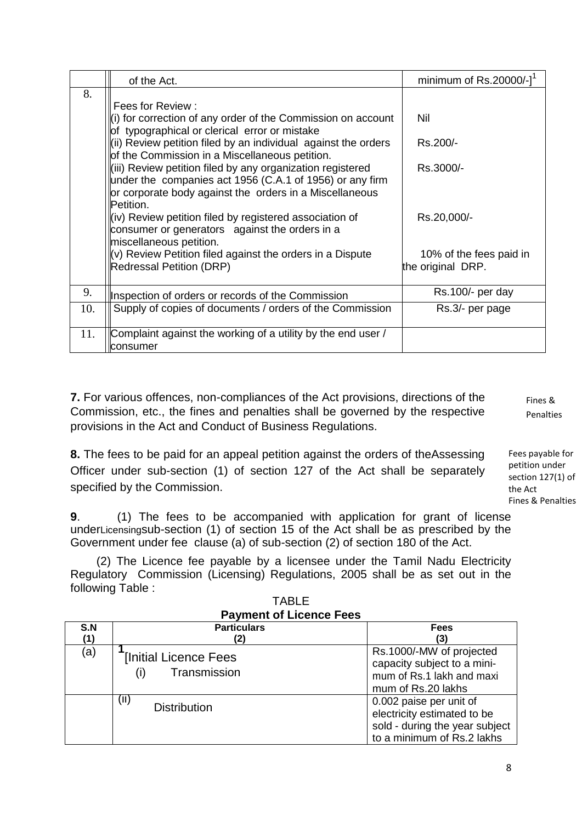|     | of the Act.                                                                                                                                                                                                                                                                                                                                                                                                                                                                                                                                                                                                                                                                  | minimum of Rs.20000/-1                                                 |
|-----|------------------------------------------------------------------------------------------------------------------------------------------------------------------------------------------------------------------------------------------------------------------------------------------------------------------------------------------------------------------------------------------------------------------------------------------------------------------------------------------------------------------------------------------------------------------------------------------------------------------------------------------------------------------------------|------------------------------------------------------------------------|
| 8.  | Fees for Review:<br>$\ $ (i) for correction of any order of the Commission on account<br>of typographical or clerical error or mistake<br>$\ $ (ii) Review petition filed by an individual against the orders<br>of the Commission in a Miscellaneous petition.<br>l(iii) Review petition filed by any organization registered<br>under the companies act 1956 (C.A.1 of 1956) or any firm<br>or corporate body against the orders in a Miscellaneous<br>Petition.<br>kiv) Review petition filed by registered association of<br>consumer or generators against the orders in a<br>miscellaneous petition.<br>$\ $ (v) Review Petition filed against the orders in a Dispute | Nil<br>Rs.200/-<br>Rs.3000/-<br>Rs.20,000/-<br>10% of the fees paid in |
|     | Redressal Petition (DRP)                                                                                                                                                                                                                                                                                                                                                                                                                                                                                                                                                                                                                                                     | the original DRP.                                                      |
| 9.  | Inspection of orders or records of the Commission                                                                                                                                                                                                                                                                                                                                                                                                                                                                                                                                                                                                                            | Rs.100/- per day                                                       |
| 10. | Supply of copies of documents / orders of the Commission                                                                                                                                                                                                                                                                                                                                                                                                                                                                                                                                                                                                                     | Rs.3/- per page                                                        |
| 11. | Complaint against the working of a utility by the end user /<br>consumer                                                                                                                                                                                                                                                                                                                                                                                                                                                                                                                                                                                                     |                                                                        |

**7.** For various offences, non-compliances of the Act provisions, directions of the Commission, etc., the fines and penalties shall be governed by the respective provisions in the Act and Conduct of Business Regulations.

Penalties

Fines &

**8.** The fees to be paid for an appeal petition against the orders of theAssessing Officer under sub-section (1) of section 127 of the Act shall be separately specified by the Commission.

Fees payable for petition under section 127(1) of the Act Fines & Penalties

**9**. (1) The fees to be accompanied with application for grant of license underLicensingsub-section (1) of section 15 of the Act shall be as prescribed by the Government under fee clause (a) of sub-section (2) of section 180 of the Act.

 (2) The Licence fee payable by a licensee under the Tamil Nadu Electricity Regulatory Commission (Licensing) Regulations, 2005 shall be as set out in the following Table :

| S.N<br>(1) | <b>Particulars</b><br>(2)                           | <b>Fees</b><br>(3)                                                                                                     |
|------------|-----------------------------------------------------|------------------------------------------------------------------------------------------------------------------------|
| (a)        | <b>[Initial Licence Fees</b><br>Transmission<br>(i) | Rs.1000/-MW of projected<br>capacity subject to a mini-<br>mum of Rs.1 lakh and maxi<br>mum of Rs.20 lakhs             |
|            | (II)<br><b>Distribution</b>                         | 0.002 paise per unit of<br>electricity estimated to be<br>sold - during the year subject<br>to a minimum of Rs.2 lakhs |

TABLE **Payment of Licence Fees**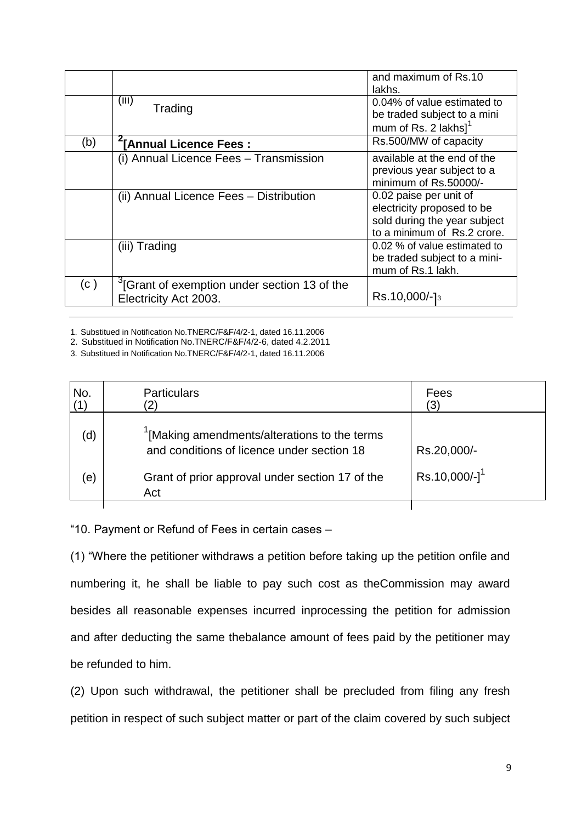|     |                                                                                   | and maximum of Rs.10<br>lakhs.                                                                                      |
|-----|-----------------------------------------------------------------------------------|---------------------------------------------------------------------------------------------------------------------|
|     | (iii)<br>Trading                                                                  | 0.04% of value estimated to<br>be traded subject to a mini                                                          |
|     |                                                                                   | mum of Rs. 2 lakhs <sup>1</sup>                                                                                     |
| (b) | "[Annual Licence Fees:                                                            | Rs.500/MW of capacity                                                                                               |
|     | (i) Annual Licence Fees - Transmission                                            | available at the end of the<br>previous year subject to a<br>minimum of Rs.50000/-                                  |
|     | (ii) Annual Licence Fees - Distribution                                           | 0.02 paise per unit of<br>electricity proposed to be<br>sold during the year subject<br>to a minimum of Rs.2 crore. |
|     | (iii) Trading                                                                     | 0.02 % of value estimated to<br>be traded subject to a mini-<br>mum of Rs.1 lakh.                                   |
| (c) | <sup>3</sup> [Grant of exemption under section 13 of the<br>Electricity Act 2003. | Rs.10,000/-13                                                                                                       |

1. Substitued in Notification No.TNERC/F&F/4/2-1, dated 16.11.2006

2. Substitued in Notification No.TNERC/F&F/4/2-6, dated 4.2.2011

3. Substitued in Notification No.TNERC/F&F/4/2-1, dated 16.11.2006

| No.        | <b>Particulars</b>                                                                         | Fees                        |
|------------|--------------------------------------------------------------------------------------------|-----------------------------|
| (d)        | '[Making amendments/alterations to the terms<br>and conditions of licence under section 18 | Rs.20,000/-                 |
| $\epsilon$ | Grant of prior approval under section 17 of the<br>Act                                     | $Rs.10,000/-]$ <sup>1</sup> |
|            |                                                                                            |                             |

"10. Payment or Refund of Fees in certain cases –

(1) "Where the petitioner withdraws a petition before taking up the petition onfile and numbering it, he shall be liable to pay such cost as theCommission may award besides all reasonable expenses incurred inprocessing the petition for admission and after deducting the same thebalance amount of fees paid by the petitioner may be refunded to him.

(2) Upon such withdrawal, the petitioner shall be precluded from filing any fresh petition in respect of such subject matter or part of the claim covered by such subject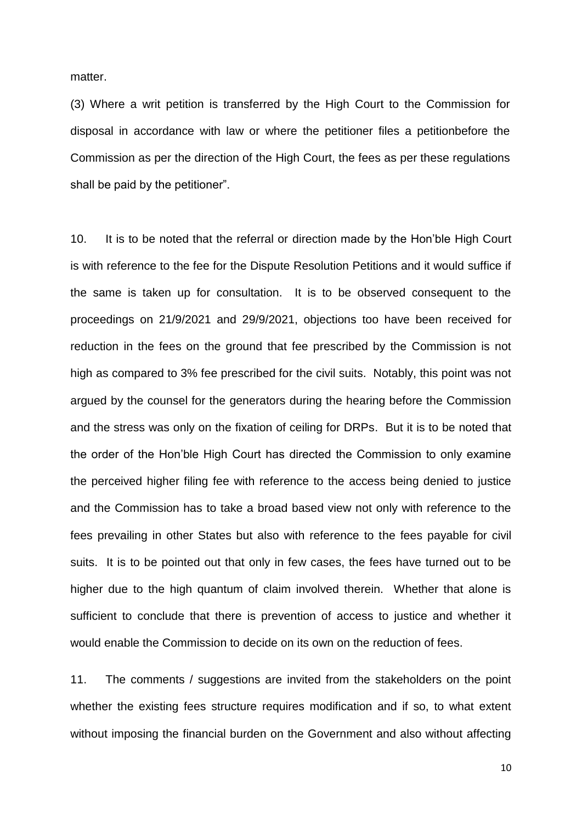matter.

(3) Where a writ petition is transferred by the High Court to the Commission for disposal in accordance with law or where the petitioner files a petitionbefore the Commission as per the direction of the High Court, the fees as per these regulations shall be paid by the petitioner".

10. It is to be noted that the referral or direction made by the Hon'ble High Court is with reference to the fee for the Dispute Resolution Petitions and it would suffice if the same is taken up for consultation. It is to be observed consequent to the proceedings on 21/9/2021 and 29/9/2021, objections too have been received for reduction in the fees on the ground that fee prescribed by the Commission is not high as compared to 3% fee prescribed for the civil suits. Notably, this point was not argued by the counsel for the generators during the hearing before the Commission and the stress was only on the fixation of ceiling for DRPs. But it is to be noted that the order of the Hon'ble High Court has directed the Commission to only examine the perceived higher filing fee with reference to the access being denied to justice and the Commission has to take a broad based view not only with reference to the fees prevailing in other States but also with reference to the fees payable for civil suits. It is to be pointed out that only in few cases, the fees have turned out to be higher due to the high quantum of claim involved therein. Whether that alone is sufficient to conclude that there is prevention of access to justice and whether it would enable the Commission to decide on its own on the reduction of fees.

11. The comments / suggestions are invited from the stakeholders on the point whether the existing fees structure requires modification and if so, to what extent without imposing the financial burden on the Government and also without affecting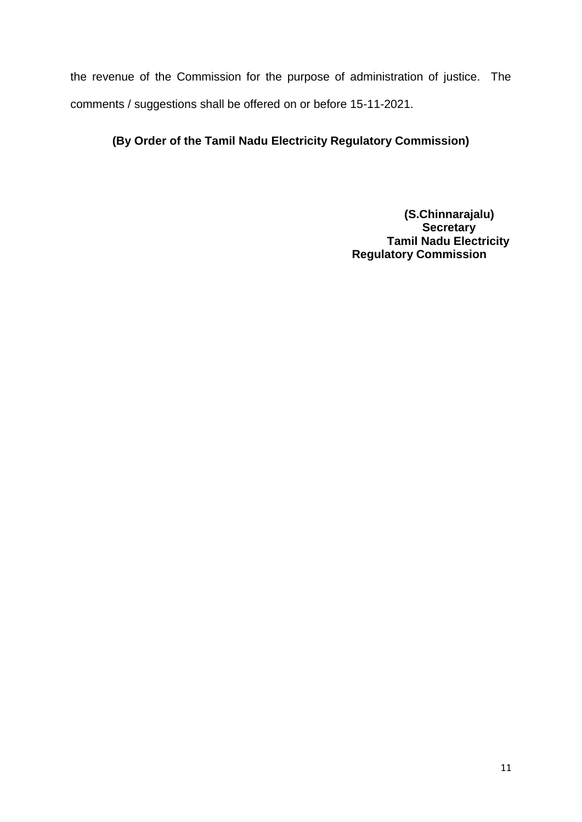the revenue of the Commission for the purpose of administration of justice. The comments / suggestions shall be offered on or before 15-11-2021.

# **(By Order of the Tamil Nadu Electricity Regulatory Commission)**

**(S.Chinnarajalu) Secretary Tamil Nadu Electricity Regulatory Commission**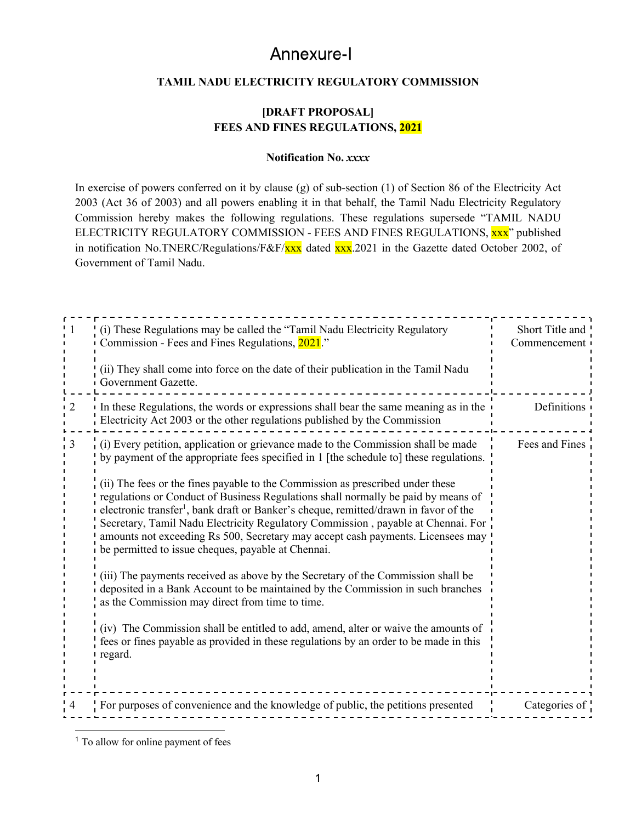# Annexure-I

#### **TAMIL NADU ELECTRICITY REGULATORY COMMISSION**

#### **[DRAFT PROPOSAL] FEES AND FINES REGULATIONS, 2021**

#### **Notification No.** *xxxx*

In exercise of powers conferred on it by clause (g) of sub-section (1) of Section 86 of the Electricity Act 2003 (Act 36 of 2003) and all powers enabling it in that behalf, the Tamil Nadu Electricity Regulatory Commission hereby makes the following regulations. These regulations supersede "TAMIL NADU ELECTRICITY REGULATORY COMMISSION - FEES AND FINES REGULATIONS, xxx" published in notification No.TNERC/Regulations/F&F/xxx dated xxx.2021 in the Gazette dated October 2002, of Government of Tamil Nadu.

|                | (i) These Regulations may be called the "Tamil Nadu Electricity Regulatory<br>Commission - Fees and Fines Regulations, 2021."                                                                                                                                                                                                                                                                                                                                                                        | Short Title and<br>Commencement |
|----------------|------------------------------------------------------------------------------------------------------------------------------------------------------------------------------------------------------------------------------------------------------------------------------------------------------------------------------------------------------------------------------------------------------------------------------------------------------------------------------------------------------|---------------------------------|
|                | (ii) They shall come into force on the date of their publication in the Tamil Nadu<br>Government Gazette.                                                                                                                                                                                                                                                                                                                                                                                            |                                 |
| $\overline{2}$ | In these Regulations, the words or expressions shall bear the same meaning as in the<br>Electricity Act 2003 or the other regulations published by the Commission                                                                                                                                                                                                                                                                                                                                    | Definitions                     |
| 3              | $\frac{1}{1}$ (i) Every petition, application or grievance made to the Commission shall be made<br>by payment of the appropriate fees specified in 1 [the schedule to] these regulations.                                                                                                                                                                                                                                                                                                            | Fees and Fines                  |
|                | (ii) The fees or the fines payable to the Commission as prescribed under these<br>regulations or Conduct of Business Regulations shall normally be paid by means of<br>electronic transfer <sup>1</sup> , bank draft or Banker's cheque, remitted/drawn in favor of the<br>Secretary, Tamil Nadu Electricity Regulatory Commission, payable at Chennai. For<br>amounts not exceeding Rs 500, Secretary may accept cash payments. Licensees may<br>be permitted to issue cheques, payable at Chennai. |                                 |
|                | (iii) The payments received as above by the Secretary of the Commission shall be<br>deposited in a Bank Account to be maintained by the Commission in such branches<br>as the Commission may direct from time to time.                                                                                                                                                                                                                                                                               |                                 |
|                | (iv) The Commission shall be entitled to add, amend, alter or waive the amounts of<br>fees or fines payable as provided in these regulations by an order to be made in this<br>regard.                                                                                                                                                                                                                                                                                                               |                                 |
|                | For purposes of convenience and the knowledge of public, the petitions presented                                                                                                                                                                                                                                                                                                                                                                                                                     | Categories of                   |

<sup>&</sup>lt;sup>1</sup> To allow for online payment of fees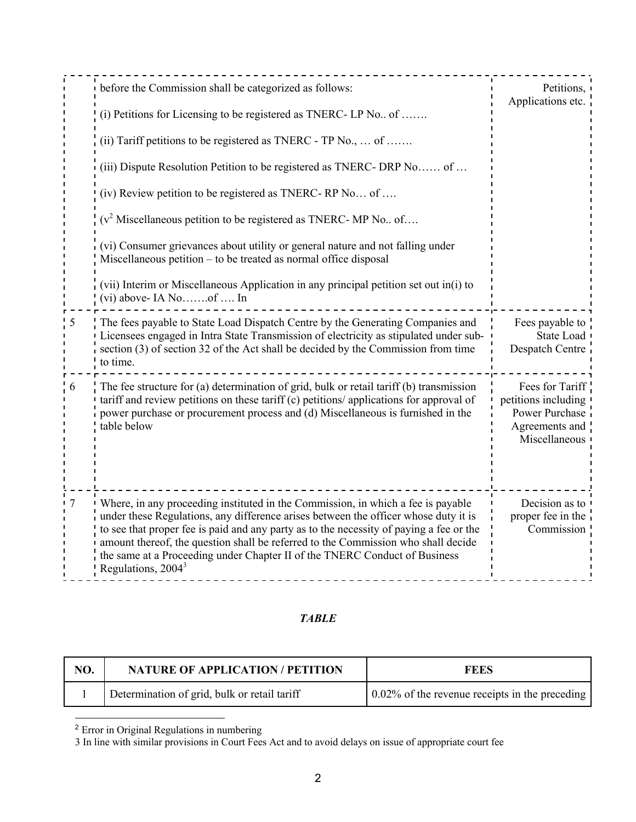|   | before the Commission shall be categorized as follows:<br>(i) Petitions for Licensing to be registered as TNERC-LP No of<br>(ii) Tariff petitions to be registered as TNERC - TP No., $\dots$ of $\dots$<br>(iii) Dispute Resolution Petition to be registered as TNERC-DRP No of<br>(iv) Review petition to be registered as TNERC-RP No of<br>$(v^2)$ Miscellaneous petition to be registered as TNERC-MP No of<br>(vi) Consumer grievances about utility or general nature and not falling under<br>Miscellaneous petition – to be treated as normal office disposal<br>(vii) Interim or Miscellaneous Application in any principal petition set out in(i) to<br>$(vi)$ above-IA Noof  In | Petitions,<br>Applications etc.                                                             |
|---|----------------------------------------------------------------------------------------------------------------------------------------------------------------------------------------------------------------------------------------------------------------------------------------------------------------------------------------------------------------------------------------------------------------------------------------------------------------------------------------------------------------------------------------------------------------------------------------------------------------------------------------------------------------------------------------------|---------------------------------------------------------------------------------------------|
|   | The fees payable to State Load Dispatch Centre by the Generating Companies and<br>Licensees engaged in Intra State Transmission of electricity as stipulated under sub-<br>section (3) of section 32 of the Act shall be decided by the Commission from time<br>to time.                                                                                                                                                                                                                                                                                                                                                                                                                     | Fees payable to<br>State Load<br>Despatch Centre                                            |
| 6 | The fee structure for (a) determination of grid, bulk or retail tariff (b) transmission<br>tariff and review petitions on these tariff (c) petitions/applications for approval of<br>power purchase or procurement process and (d) Miscellaneous is furnished in the<br>table below                                                                                                                                                                                                                                                                                                                                                                                                          | Fees for Tariff<br>petitions including<br>Power Purchase<br>Agreements and<br>Miscellaneous |
|   | Where, in any proceeding instituted in the Commission, in which a fee is payable<br>under these Regulations, any difference arises between the officer whose duty it is<br>to see that proper fee is paid and any party as to the necessity of paying a fee or the<br>amount thereof, the question shall be referred to the Commission who shall decide<br>the same at a Proceeding under Chapter II of the TNERC Conduct of Business<br>Regulations, 2004 <sup>3</sup>                                                                                                                                                                                                                      | Decision as to<br>proper fee in the<br>Commission                                           |

## *TABLE*

| NO. | <b>NATURE OF APPLICATION / PETITION</b>      | FEES                                           |
|-----|----------------------------------------------|------------------------------------------------|
|     | Determination of grid, bulk or retail tariff | 0.02% of the revenue receipts in the preceding |

<sup>2</sup> Error in Original Regulations in numbering

3 In line with similar provisions in Court Fees Act and to avoid delays on issue of appropriate court fee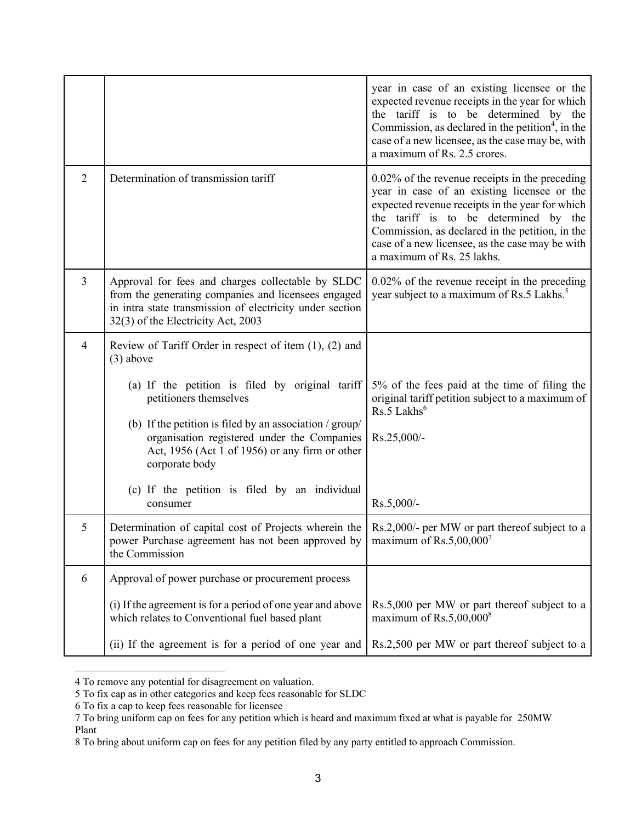|                |                                                                                                                                                                                                                                                                                                                                                                                                         | year in case of an existing licensee or the<br>expected revenue receipts in the year for which<br>the tariff is to be determined by the<br>Commission, as declared in the petition <sup>4</sup> , in the<br>case of a new licensee, as the case may be, with<br>a maximum of Rs. 2.5 crores.                                     |
|----------------|---------------------------------------------------------------------------------------------------------------------------------------------------------------------------------------------------------------------------------------------------------------------------------------------------------------------------------------------------------------------------------------------------------|----------------------------------------------------------------------------------------------------------------------------------------------------------------------------------------------------------------------------------------------------------------------------------------------------------------------------------|
| $\overline{2}$ | Determination of transmission tariff                                                                                                                                                                                                                                                                                                                                                                    | $0.02\%$ of the revenue receipts in the preceding<br>year in case of an existing licensee or the<br>expected revenue receipts in the year for which<br>the tariff is to be determined by the<br>Commission, as declared in the petition, in the<br>case of a new licensee, as the case may be with<br>a maximum of Rs. 25 lakhs. |
| $\overline{3}$ | Approval for fees and charges collectable by SLDC<br>from the generating companies and licensees engaged<br>in intra state transmission of electricity under section<br>32(3) of the Electricity Act, 2003                                                                                                                                                                                              | $0.02\%$ of the revenue receipt in the preceding<br>year subject to a maximum of Rs.5 Lakhs. <sup>5</sup>                                                                                                                                                                                                                        |
| $\overline{4}$ | Review of Tariff Order in respect of item $(1)$ , $(2)$ and<br>$(3)$ above<br>(a) If the petition is filed by original tariff<br>petitioners themselves<br>(b) If the petition is filed by an association $/$ group $/$<br>organisation registered under the Companies<br>Act, 1956 (Act 1 of 1956) or any firm or other<br>corporate body<br>(c) If the petition is filed by an individual<br>consumer | 5% of the fees paid at the time of filing the<br>original tariff petition subject to a maximum of<br>$Rs.5$ Lakhs <sup>6</sup><br>Rs.25,000/-<br>Rs.5,000/-                                                                                                                                                                      |
| 5              | Determination of capital cost of Projects wherein the<br>power Purchase agreement has not been approved by<br>the Commission                                                                                                                                                                                                                                                                            | Rs.2,000/- per MW or part thereof subject to a<br>maximum of $\text{Rs}.5,00,000'$                                                                                                                                                                                                                                               |
| 6              | Approval of power purchase or procurement process<br>(i) If the agreement is for a period of one year and above<br>which relates to Conventional fuel based plant<br>(ii) If the agreement is for a period of one year and                                                                                                                                                                              | Rs.5,000 per MW or part thereof subject to a<br>maximum of $Rs.5,00,000^8$<br>Rs.2,500 per MW or part thereof subject to a                                                                                                                                                                                                       |

<sup>4</sup> To remove any potential for disagreement on valuation.

<sup>5</sup> To fix cap as in other categories and keep fees reasonable for SLDC

<sup>6</sup> To fix a cap to keep fees reasonable for licensee

<sup>7</sup> To bring uniform cap on fees for any petition which is heard and maximum fixed at what is payable for 250MW Plant

<sup>8</sup> To bring about uniform cap on fees for any petition filed by any party entitled to approach Commission.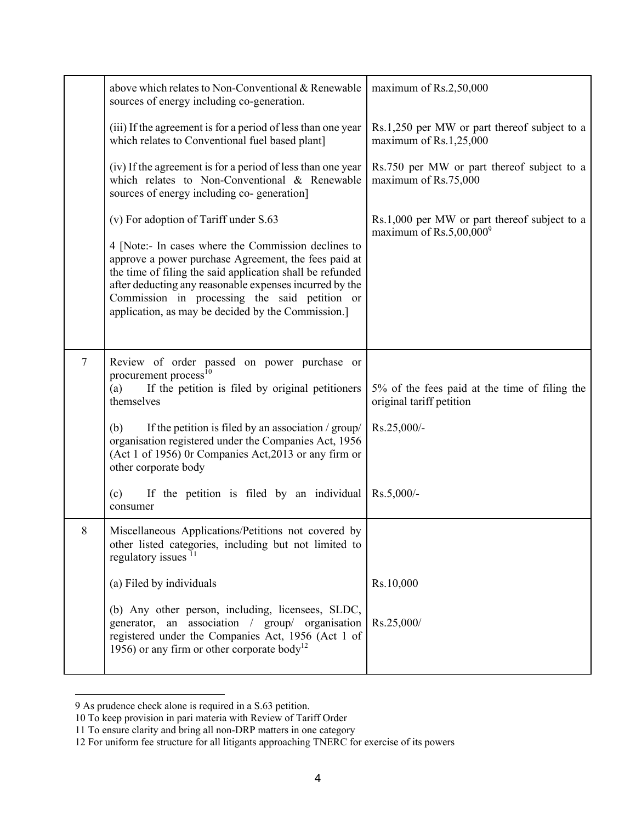|                | above which relates to Non-Conventional & Renewable<br>sources of energy including co-generation.                                                                                                                                                                                                                                          | maximum of Rs.2,50,000                                                     |
|----------------|--------------------------------------------------------------------------------------------------------------------------------------------------------------------------------------------------------------------------------------------------------------------------------------------------------------------------------------------|----------------------------------------------------------------------------|
|                | (iii) If the agreement is for a period of less than one year<br>which relates to Conventional fuel based plant]                                                                                                                                                                                                                            | Rs.1,250 per MW or part thereof subject to a<br>maximum of Rs.1,25,000     |
|                | (iv) If the agreement is for a period of less than one year<br>which relates to Non-Conventional & Renewable<br>sources of energy including co-generation]                                                                                                                                                                                 | Rs.750 per MW or part thereof subject to a<br>maximum of Rs.75,000         |
|                | (v) For adoption of Tariff under S.63                                                                                                                                                                                                                                                                                                      | Rs.1,000 per MW or part thereof subject to a<br>maximum of $Rs.5,00,000^9$ |
|                | 4 [Note:- In cases where the Commission declines to<br>approve a power purchase Agreement, the fees paid at<br>the time of filing the said application shall be refunded<br>after deducting any reasonable expenses incurred by the<br>Commission in processing the said petition or<br>application, as may be decided by the Commission.] |                                                                            |
| $\overline{7}$ | Review of order passed on power purchase or<br>procurement process <sup>10</sup><br>If the petition is filed by original petitioners<br>(a)<br>themselves                                                                                                                                                                                  | 5% of the fees paid at the time of filing the<br>original tariff petition  |
|                | (b)<br>If the petition is filed by an association / group/<br>organisation registered under the Companies Act, 1956<br>(Act 1 of 1956) 0r Companies Act, 2013 or any firm or<br>other corporate body                                                                                                                                       | Rs.25,000/-                                                                |
|                | If the petition is filed by an individual<br>(c)<br>consumer                                                                                                                                                                                                                                                                               | $Rs.5,000/-$                                                               |
| 8              | Miscellaneous Applications/Petitions not covered by<br>other listed categories, including but not limited to<br>regulatory issues <sup>11</sup>                                                                                                                                                                                            |                                                                            |
|                | (a) Filed by individuals                                                                                                                                                                                                                                                                                                                   | Rs.10,000                                                                  |
|                | (b) Any other person, including, licensees, SLDC,<br>generator, an association / group/ organisation<br>registered under the Companies Act, 1956 (Act 1 of<br>1956) or any firm or other corporate body <sup>12</sup>                                                                                                                      | Rs.25,000/                                                                 |

<sup>9</sup> As prudence check alone is required in a S.63 petition.

<sup>10</sup> To keep provision in pari materia with Review of Tariff Order

<sup>11</sup> To ensure clarity and bring all non-DRP matters in one category

<sup>12</sup> For uniform fee structure for all litigants approaching TNERC for exercise of its powers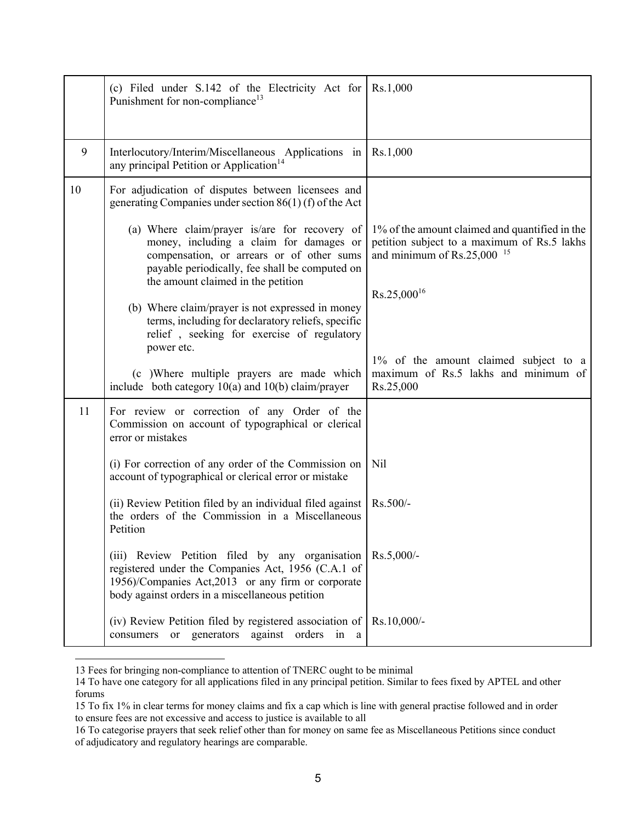|    | (c) Filed under S.142 of the Electricity Act for<br>Punishment for non-compliance <sup>13</sup>                                                                                                                               | Rs.1,000                                                                                                                                         |
|----|-------------------------------------------------------------------------------------------------------------------------------------------------------------------------------------------------------------------------------|--------------------------------------------------------------------------------------------------------------------------------------------------|
| 9  | Interlocutory/Interim/Miscellaneous Applications in<br>any principal Petition or Application <sup>14</sup>                                                                                                                    | Rs.1,000                                                                                                                                         |
| 10 | For adjudication of disputes between licensees and<br>generating Companies under section $86(1)$ (f) of the Act                                                                                                               |                                                                                                                                                  |
|    | (a) Where claim/prayer is/are for recovery of<br>money, including a claim for damages or<br>compensation, or arrears or of other sums<br>payable periodically, fee shall be computed on<br>the amount claimed in the petition | 1% of the amount claimed and quantified in the<br>petition subject to a maximum of Rs.5 lakhs<br>and minimum of $\text{Rs}.25,000$ <sup>15</sup> |
|    | (b) Where claim/prayer is not expressed in money<br>terms, including for declaratory reliefs, specific<br>relief, seeking for exercise of regulatory<br>power etc.                                                            | $Rs.25,000^{16}$                                                                                                                                 |
|    | (c) Where multiple prayers are made which<br>include both category $10(a)$ and $10(b)$ claim/prayer                                                                                                                           | 1% of the amount claimed subject to a<br>maximum of Rs.5 lakhs and minimum of<br>Rs.25,000                                                       |
| 11 | For review or correction of any Order of the<br>Commission on account of typographical or clerical<br>error or mistakes                                                                                                       |                                                                                                                                                  |
|    | (i) For correction of any order of the Commission on<br>account of typographical or clerical error or mistake                                                                                                                 | Nil                                                                                                                                              |
|    | (ii) Review Petition filed by an individual filed against<br>the orders of the Commission in a Miscellaneous<br>Petition                                                                                                      | Rs.500/-                                                                                                                                         |
|    | (iii) Review Petition filed by any organisation<br>registered under the Companies Act, 1956 (C.A.1 of<br>1956)/Companies Act,2013 or any firm or corporate<br>body against orders in a miscellaneous petition                 | $Rs.5,000/-$                                                                                                                                     |
|    | (iv) Review Petition filed by registered association of $\vert$ Rs.10,000/-<br>consumers or generators against orders in a                                                                                                    |                                                                                                                                                  |

<sup>13</sup> Fees for bringing non-compliance to attention of TNERC ought to be minimal

<sup>14</sup> To have one category for all applications filed in any principal petition. Similar to fees fixed by APTEL and other forums

<sup>15</sup> To fix 1% in clear terms for money claims and fix a cap which is line with general practise followed and in order to ensure fees are not excessive and access to justice is available to all

<sup>16</sup> To categorise prayers that seek relief other than for money on same fee as Miscellaneous Petitions since conduct of adjudicatory and regulatory hearings are comparable.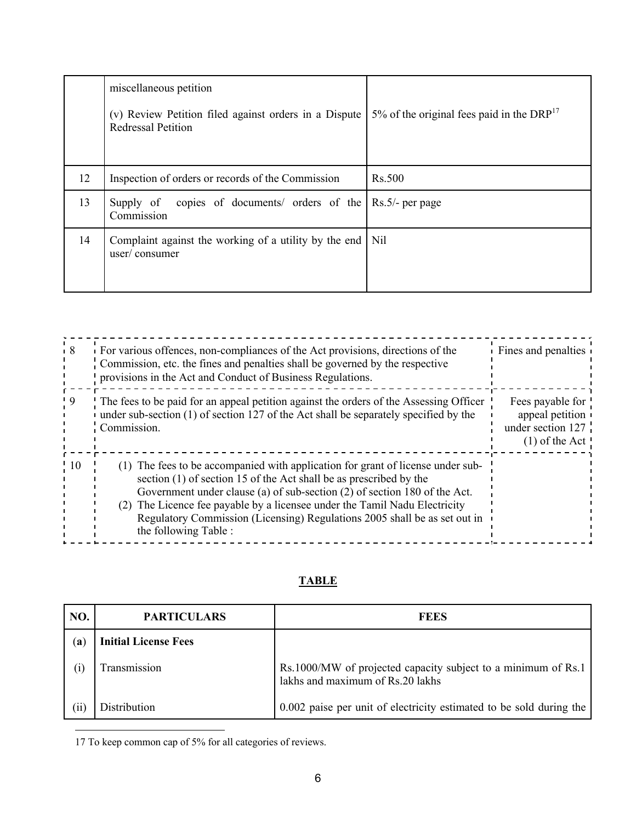|    | miscellaneous petition<br>(v) Review Petition filed against orders in a Dispute<br><b>Redressal Petition</b> | 5% of the original fees paid in the $DRP^{17}$ |
|----|--------------------------------------------------------------------------------------------------------------|------------------------------------------------|
| 12 | Inspection of orders or records of the Commission                                                            | <b>Rs.500</b>                                  |
| 13 | copies of documents/ orders of the Rs.5/- per page<br>Supply of<br>Commission                                |                                                |
| 14 | Complaint against the working of a utility by the end   Nil<br>user/ consumer                                |                                                |

|      | For various offences, non-compliances of the Act provisions, directions of the<br>Commission, etc. the fines and penalties shall be governed by the respective<br>provisions in the Act and Conduct of Business Regulations.                                                                                                                                                                                          | Fines and penalties                                                          |
|------|-----------------------------------------------------------------------------------------------------------------------------------------------------------------------------------------------------------------------------------------------------------------------------------------------------------------------------------------------------------------------------------------------------------------------|------------------------------------------------------------------------------|
|      | The fees to be paid for an appeal petition against the orders of the Assessing Officer<br>under sub-section $(1)$ of section 127 of the Act shall be separately specified by the<br>Commission.                                                                                                                                                                                                                       | Fees payable for<br>appeal petition<br>under section 127<br>$(1)$ of the Act |
| ! 10 | The fees to be accompanied with application for grant of license under sub-<br>section (1) of section 15 of the Act shall be as prescribed by the<br>Government under clause (a) of sub-section (2) of section 180 of the Act.<br>The Licence fee payable by a licensee under the Tamil Nadu Electricity<br>(2)<br>Regulatory Commission (Licensing) Regulations 2005 shall be as set out in<br>the following Table : |                                                                              |

# **TABLE**

| NO.  | <b>PARTICULARS</b>          | <b>FEES</b>                                                                                       |
|------|-----------------------------|---------------------------------------------------------------------------------------------------|
| (a)  | <b>Initial License Fees</b> |                                                                                                   |
| (i)  | Transmission                | Rs.1000/MW of projected capacity subject to a minimum of Rs.1<br>lakhs and maximum of Rs.20 lakhs |
| (ii) | Distribution                | 0.002 paise per unit of electricity estimated to be sold during the                               |

17 To keep common cap of 5% for all categories of reviews.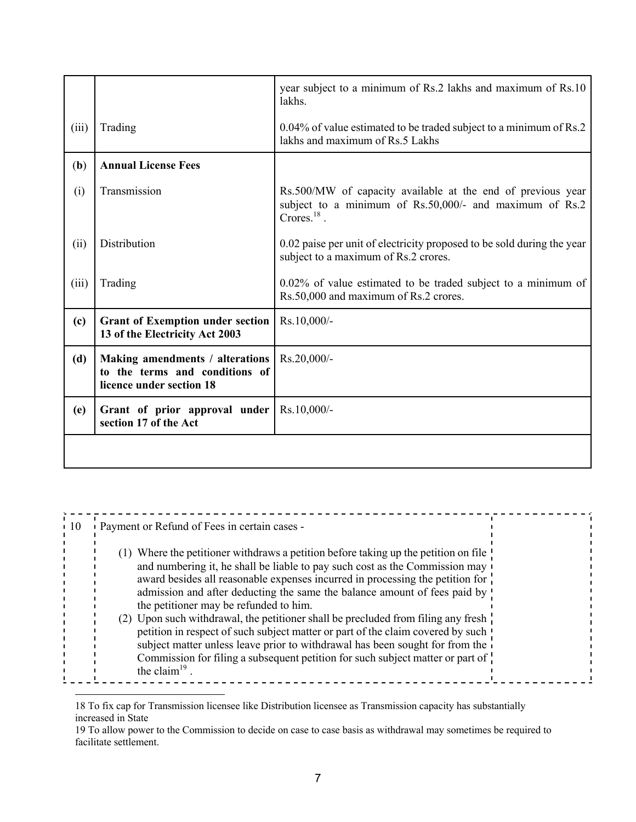|       |                                                                                               | year subject to a minimum of Rs.2 lakhs and maximum of Rs.10<br>lakhs.                                                                   |
|-------|-----------------------------------------------------------------------------------------------|------------------------------------------------------------------------------------------------------------------------------------------|
| (iii) | Trading                                                                                       | 0.04% of value estimated to be traded subject to a minimum of Rs.2<br>lakhs and maximum of Rs.5 Lakhs                                    |
| (b)   | <b>Annual License Fees</b>                                                                    |                                                                                                                                          |
| (i)   | Transmission                                                                                  | Rs.500/MW of capacity available at the end of previous year<br>subject to a minimum of Rs.50,000/- and maximum of Rs.2<br>Crores. $18$ . |
| (ii)  | Distribution                                                                                  | 0.02 paise per unit of electricity proposed to be sold during the year<br>subject to a maximum of Rs.2 crores.                           |
| (iii) | Trading                                                                                       | $0.02\%$ of value estimated to be traded subject to a minimum of<br>Rs.50,000 and maximum of Rs.2 crores.                                |
| (c)   | <b>Grant of Exemption under section</b><br>13 of the Electricity Act 2003                     | Rs.10,000/-                                                                                                                              |
| (d)   | Making amendments / alterations<br>to the terms and conditions of<br>licence under section 18 | Rs.20,000/-                                                                                                                              |
| (e)   | Grant of prior approval under<br>section 17 of the Act                                        | $Rs.10,000/-$                                                                                                                            |
|       |                                                                                               |                                                                                                                                          |

| $\blacksquare$ 10 | Payment or Refund of Fees in certain cases -                                                                                                                          |  |
|-------------------|-----------------------------------------------------------------------------------------------------------------------------------------------------------------------|--|
|                   |                                                                                                                                                                       |  |
|                   | Where the petitioner withdraws a petition before taking up the petition on file<br>(1)<br>and numbering it, he shall be liable to pay such cost as the Commission may |  |
|                   | award besides all reasonable expenses incurred in processing the petition for                                                                                         |  |
|                   | admission and after deducting the same the balance amount of fees paid by '<br>the petitioner may be refunded to him.                                                 |  |
|                   | (2) Upon such withdrawal, the petitioner shall be precluded from filing any fresh                                                                                     |  |
|                   | petition in respect of such subject matter or part of the claim covered by such !<br>subject matter unless leave prior to withdrawal has been sought for from the     |  |
|                   | Commission for filing a subsequent petition for such subject matter or part of<br>the claim <sup>19</sup> .                                                           |  |
|                   |                                                                                                                                                                       |  |

<sup>18</sup> To fix cap for Transmission licensee like Distribution licensee as Transmission capacity has substantially increased in State

<sup>19</sup> To allow power to the Commission to decide on case to case basis as withdrawal may sometimes be required to facilitate settlement.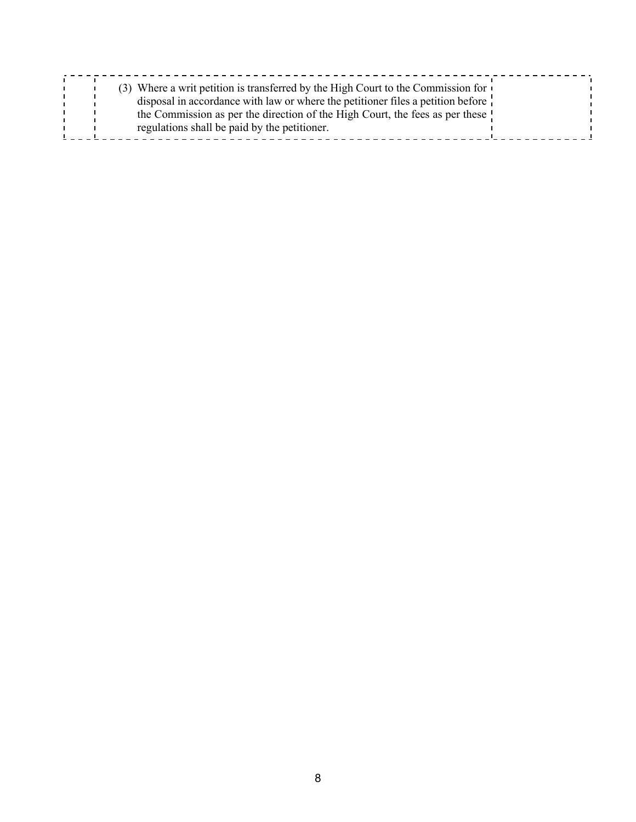|--|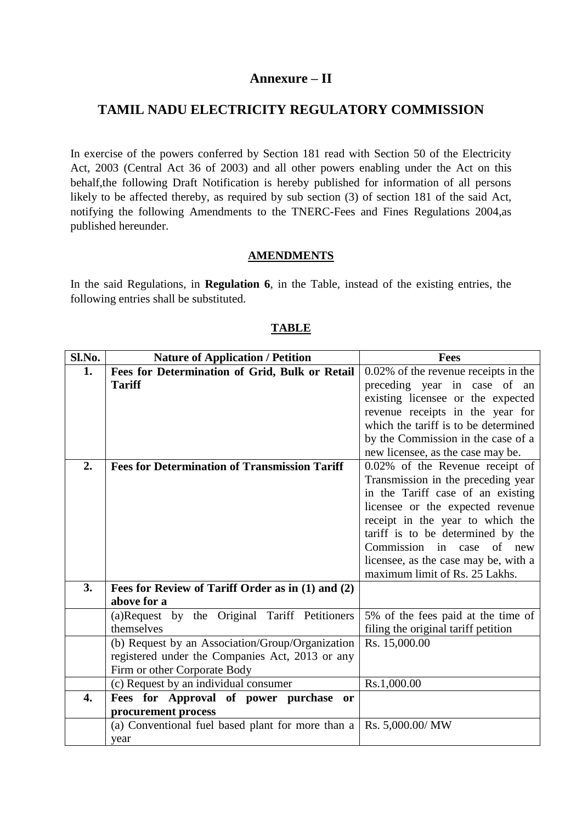# **Annexure – II**

# **TAMIL NADU ELECTRICITY REGULATORY COMMISSION**

In exercise of the powers conferred by Section 181 read with Section 50 of the Electricity Act, 2003 (Central Act 36 of 2003) and all other powers enabling under the Act on this behalf,the following Draft Notification is hereby published for information of all persons likely to be affected thereby, as required by sub section (3) of section 181 of the said Act, notifying the following Amendments to the TNERC-Fees and Fines Regulations 2004,as published hereunder.

## **AMENDMENTS**

In the said Regulations, in **Regulation 6**, in the Table, instead of the existing entries, the following entries shall be substituted.

| Sl.No. | <b>Nature of Application / Petition</b>              | <b>Fees</b>                                                            |
|--------|------------------------------------------------------|------------------------------------------------------------------------|
| 1.     | Fees for Determination of Grid, Bulk or Retail       | 0.02% of the revenue receipts in the                                   |
|        | <b>Tariff</b>                                        | preceding year in case of an                                           |
|        |                                                      | existing licensee or the expected                                      |
|        |                                                      | revenue receipts in the year for                                       |
|        |                                                      | which the tariff is to be determined                                   |
|        |                                                      | by the Commission in the case of a                                     |
|        |                                                      | new licensee, as the case may be.                                      |
| 2.     | <b>Fees for Determination of Transmission Tariff</b> | 0.02% of the Revenue receipt of                                        |
|        |                                                      | Transmission in the preceding year                                     |
|        |                                                      | in the Tariff case of an existing                                      |
|        |                                                      | licensee or the expected revenue                                       |
|        |                                                      | receipt in the year to which the                                       |
|        |                                                      | tariff is to be determined by the                                      |
|        |                                                      | Commission in case of new                                              |
|        |                                                      | licensee, as the case may be, with a<br>maximum limit of Rs. 25 Lakhs. |
| 3.     | Fees for Review of Tariff Order as in (1) and (2)    |                                                                        |
|        | above for a                                          |                                                                        |
|        | (a)Request by the Original Tariff Petitioners        | 5% of the fees paid at the time of                                     |
|        | themselves                                           | filing the original tariff petition                                    |
|        | (b) Request by an Association/Group/Organization     | Rs. 15,000.00                                                          |
|        | registered under the Companies Act, 2013 or any      |                                                                        |
|        | Firm or other Corporate Body                         |                                                                        |
|        | (c) Request by an individual consumer                | Rs.1,000.00                                                            |
| 4.     | Fees for Approval of power purchase<br><b>or</b>     |                                                                        |
|        | procurement process                                  |                                                                        |
|        | (a) Conventional fuel based plant for more than a    | Rs. 5,000.00/ MW                                                       |
|        | year                                                 |                                                                        |

## **TABLE**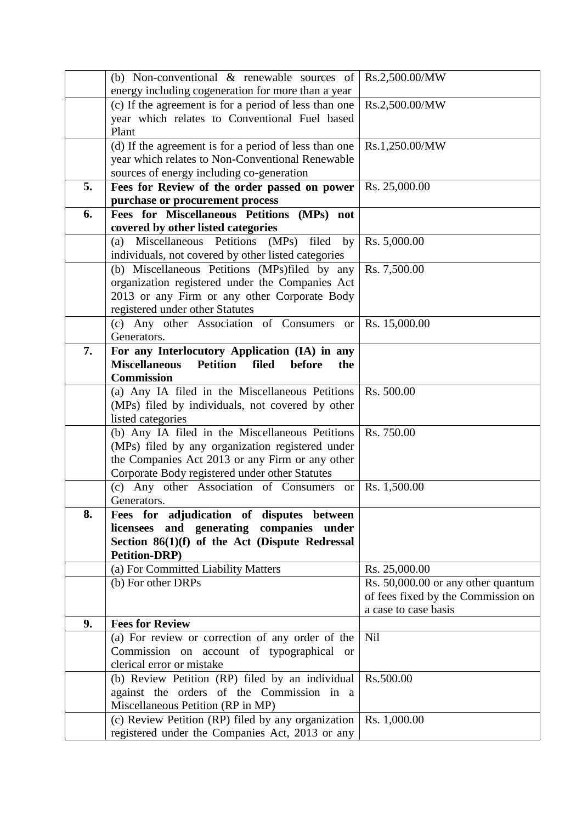|    | (b) Non-conventional $\&$ renewable sources of                    | Rs.2,500.00/MW                     |
|----|-------------------------------------------------------------------|------------------------------------|
|    | energy including cogeneration for more than a year                |                                    |
|    | (c) If the agreement is for a period of less than one             | Rs.2,500.00/MW                     |
|    | year which relates to Conventional Fuel based                     |                                    |
|    | Plant                                                             |                                    |
|    | (d) If the agreement is for a period of less than one             | Rs.1,250.00/MW                     |
|    | year which relates to Non-Conventional Renewable                  |                                    |
|    | sources of energy including co-generation                         |                                    |
| 5. | Fees for Review of the order passed on power                      | Rs. 25,000.00                      |
|    | purchase or procurement process                                   |                                    |
| 6. | Fees for Miscellaneous Petitions (MPs) not                        |                                    |
|    | covered by other listed categories                                |                                    |
|    | (a) Miscellaneous Petitions (MPs) filed by                        | Rs. 5,000.00                       |
|    | individuals, not covered by other listed categories               |                                    |
|    | (b) Miscellaneous Petitions (MPs)filed by any                     | Rs. 7,500.00                       |
|    | organization registered under the Companies Act                   |                                    |
|    | 2013 or any Firm or any other Corporate Body                      |                                    |
|    | registered under other Statutes                                   |                                    |
|    | (c) Any other Association of Consumers or                         | Rs. 15,000.00                      |
|    | Generators.                                                       |                                    |
| 7. | For any Interlocutory Application (IA) in any                     |                                    |
|    | <b>Miscellaneous</b><br>filed<br><b>Petition</b><br>before<br>the |                                    |
|    | <b>Commission</b>                                                 |                                    |
|    | (a) Any IA filed in the Miscellaneous Petitions                   | Rs. 500.00                         |
|    | (MPs) filed by individuals, not covered by other                  |                                    |
|    | listed categories                                                 |                                    |
|    | (b) Any IA filed in the Miscellaneous Petitions                   | Rs. 750.00                         |
|    | (MPs) filed by any organization registered under                  |                                    |
|    | the Companies Act 2013 or any Firm or any other                   |                                    |
|    | Corporate Body registered under other Statutes                    |                                    |
|    | (c) Any other Association of Consumers<br><b>or</b>               | Rs. 1,500.00                       |
|    | Generators.                                                       |                                    |
| 8. | Fees for adjudication of disputes between                         |                                    |
|    | licensees and generating companies under                          |                                    |
|    | Section 86(1)(f) of the Act (Dispute Redressal                    |                                    |
|    | <b>Petition-DRP)</b>                                              | Rs. 25,000.00                      |
|    | (a) For Committed Liability Matters<br>(b) For other DRPs         | Rs. 50,000.00 or any other quantum |
|    |                                                                   | of fees fixed by the Commission on |
|    |                                                                   | a case to case basis               |
| 9. | <b>Fees for Review</b>                                            |                                    |
|    | (a) For review or correction of any order of the                  | Nil                                |
|    | Commission on account of typographical or                         |                                    |
|    | clerical error or mistake                                         |                                    |
|    | (b) Review Petition (RP) filed by an individual                   | Rs.500.00                          |
|    | against the orders of the Commission in a                         |                                    |
|    | Miscellaneous Petition (RP in MP)                                 |                                    |
|    | (c) Review Petition (RP) filed by any organization                | Rs. 1,000.00                       |
|    | registered under the Companies Act, 2013 or any                   |                                    |
|    |                                                                   |                                    |